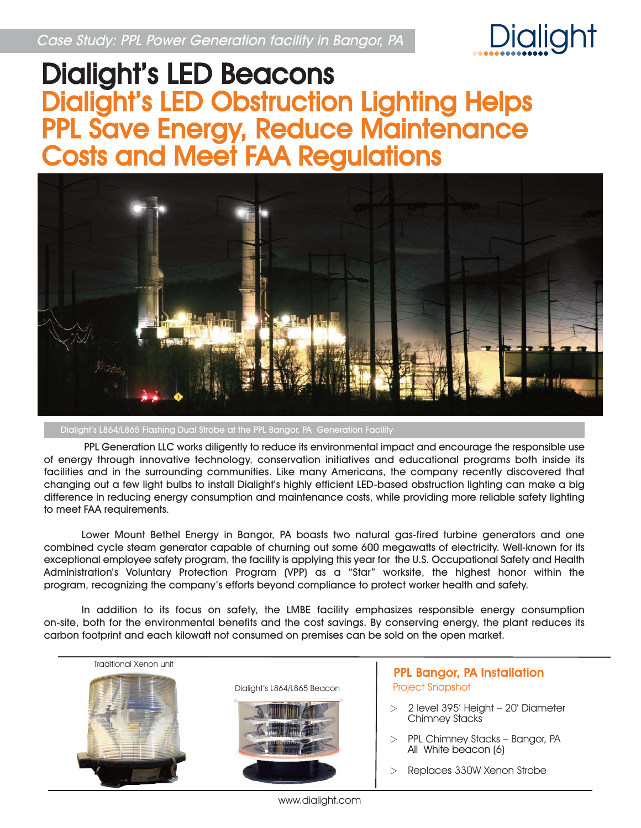

## Dialight's LED Beacons Dialight's LED Obstruction Lighting Helps PPL Save Energy, Reduce Maintenance Costs and Meet FAA Regulations



Dialight's L864/L865 Flashing Dual Strobe at the PPL Bangor, PA Generation Facility

PPL Generation LLC works diligently to reduce its environmental impact and encourage the responsible use of energy through innovative technology, conservation initiatives and educational programs both inside its facilities and in the surrounding communities. Like many Americans, the company recently discovered that changing out a few light bulbs to install Dialight's highly efficient LED-based obstruction lighting can make a big difference in reducing energy consumption and maintenance costs, while providing more reliable safety lighting to meet FAA requirements.

Lower Mount Bethel Energy in Bangor, PA boasts two natural gas-fired turbine generators and one combined cycle steam generator capable of churning out some 600 megawatts of electricity. Well-known for its exceptional employee safety program, the facility is applying this year for the U.S. Occupational Safety and Health Administration's Voluntary Protection Program (VPP) as a "Star" worksite, the highest honor within the program, recognizing the company's efforts beyond compliance to protect worker health and safety.

In addition to its focus on safety, the LMBE facility emphasizes responsible energy consumption on-site, both for the environmental benefits and the cost savings. By conserving energy, the plant reduces its carbon footprint and each kilowatt not consumed on premises can be sold on the open market.